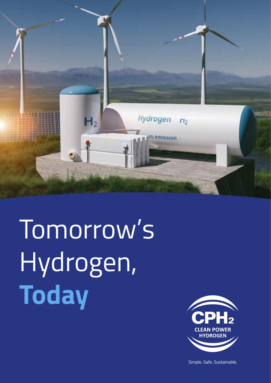

Tomorrow's Hydrogen, **Today**



Simple. Safe. Sustainable.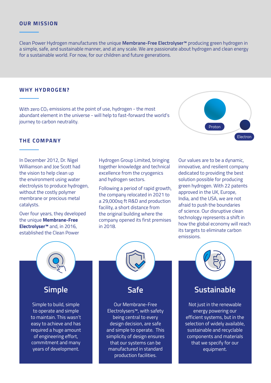### **OUR MISSION**

Clean Power Hydrogen manufactures the unique **Membrane-Free Electrolyser™** producing green hydrogen in a simple, safe, and sustainable manner, and at any scale. We are passionate about hydrogen and clean energy for a sustainable world. For now, for our children and future generations.

#### **WHY HYDROGEN?**

With zero CO<sub>2</sub> emissions at the point of use, hydrogen - the most abundant element in the universe - will help to fast-forward the world's journey to carbon neutrality.



#### **THE COMPANY**

In December 2012, Dr. Nigel Williamson and Joe Scott had the vision to help clean up the environment using water electrolysis to produce hydrogen, without the costly polymer membrane or precious metal catalysts.

Over four years, they developed the unique **Membrane-Free Electrolyser™** and, in 2016, established the Clean Power

Hydrogen Group Limited, bringing together knowledge and technical excellence from the cryogenics and hydrogen sectors.

Following a period of rapid growth, the company relocated in 2021 to a 29,000sq ft R&D and production facility, a short distance from the original building where the company opened its first premises in 2018.

Our values are to be a dynamic, innovative, and resilient company dedicated to providing the best solution possible for producing green hydrogen. With 22 patents approved in the UK, Europe, India, and the USA, we are not afraid to push the boundaries of science. Our disruptive clean technology represents a shift in how the global economy will reach its targets to eliminate carbon emissions.



Not just in the renewable energy powering our efficient systems, but in the selection of widely available, sustainable and recyclable components and materials that we specify for our equipment.





Our Membrane-Free Electrolysers™, with safety being central to every design decision, are safe and simple to operate. This simplicity of design ensures that our systems can be manufactured in standard production facilities.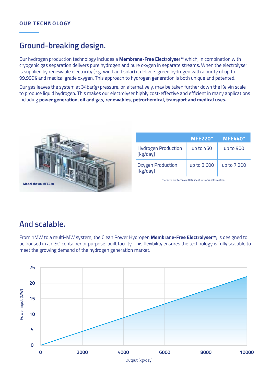# **Ground-breaking design.**

Our hydrogen production technology includes a **Membrane-Free Electrolyser™** which, in combination with cryogenic gas separation delivers pure hydrogen and pure oxygen in separate streams. When the electrolyser is supplied by renewable electricity (e.g. wind and solar) it delivers green hydrogen with a purity of up to 99.999% and medical grade oxygen. This approach to hydrogen generation is both unique and patented.

Our gas leaves the system at 34bar(g) pressure, or, alternatively, may be taken further down the Kelvin scale to produce liquid hydrogen. This makes our electrolyser highly cost-effective and efficient in many applications including **power generation, oil and gas, renewables, petrochemical, transport and medical uses.**



|                                        | <b>MFE220*</b> | <b>MFE440*</b> |
|----------------------------------------|----------------|----------------|
| <b>Hydrogen Production</b><br>[kg/day] | up to 450      | up to 900      |
| <b>Oxygen Production</b><br>[kg/day]   | up to 3,600    | up to 7,200    |

\*Refer to our Technical Datasheet for more information

## **And scalable.**

From 1MW to a multi-MW system, the Clean Power Hydrogen **Membrane-Free Electrolyser™**; is designed to be housed in an ISO container or purpose-built facility. This flexibility ensures the technology is fully scalable to meet the growing demand of the hydrogen generation market.